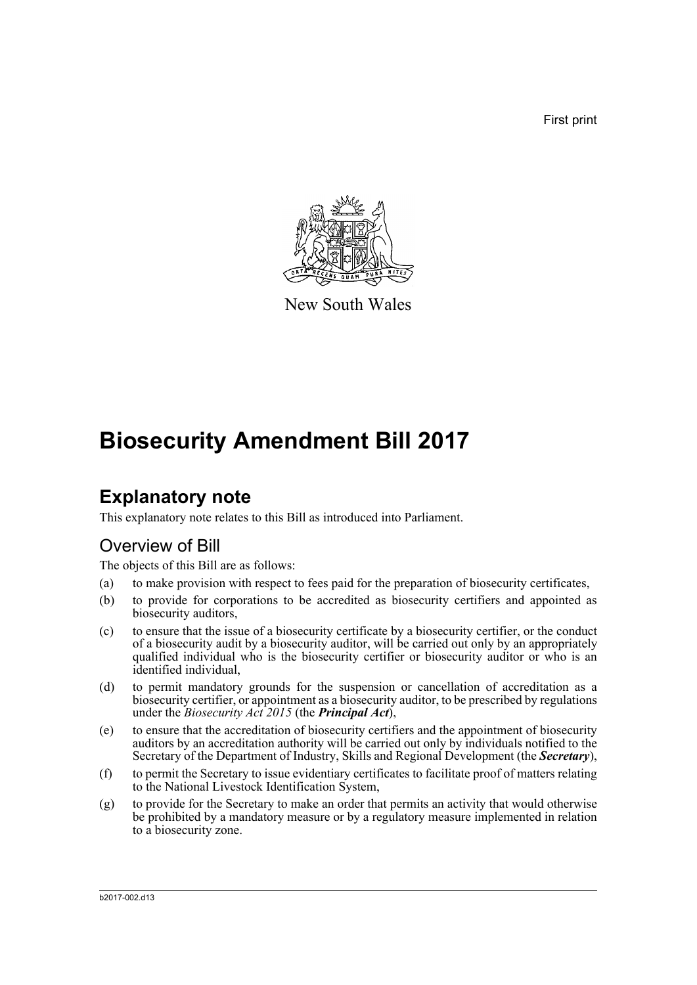First print



New South Wales

# **Biosecurity Amendment Bill 2017**

## **Explanatory note**

This explanatory note relates to this Bill as introduced into Parliament.

#### Overview of Bill

The objects of this Bill are as follows:

- (a) to make provision with respect to fees paid for the preparation of biosecurity certificates,
- (b) to provide for corporations to be accredited as biosecurity certifiers and appointed as biosecurity auditors,
- (c) to ensure that the issue of a biosecurity certificate by a biosecurity certifier, or the conduct of a biosecurity audit by a biosecurity auditor, will be carried out only by an appropriately qualified individual who is the biosecurity certifier or biosecurity auditor or who is an identified individual,
- (d) to permit mandatory grounds for the suspension or cancellation of accreditation as a biosecurity certifier, or appointment as a biosecurity auditor, to be prescribed by regulations under the *Biosecurity Act 2015* (the *Principal Act*),
- (e) to ensure that the accreditation of biosecurity certifiers and the appointment of biosecurity auditors by an accreditation authority will be carried out only by individuals notified to the Secretary of the Department of Industry, Skills and Regional Development (the *Secretary*),
- (f) to permit the Secretary to issue evidentiary certificates to facilitate proof of matters relating to the National Livestock Identification System,
- (g) to provide for the Secretary to make an order that permits an activity that would otherwise be prohibited by a mandatory measure or by a regulatory measure implemented in relation to a biosecurity zone.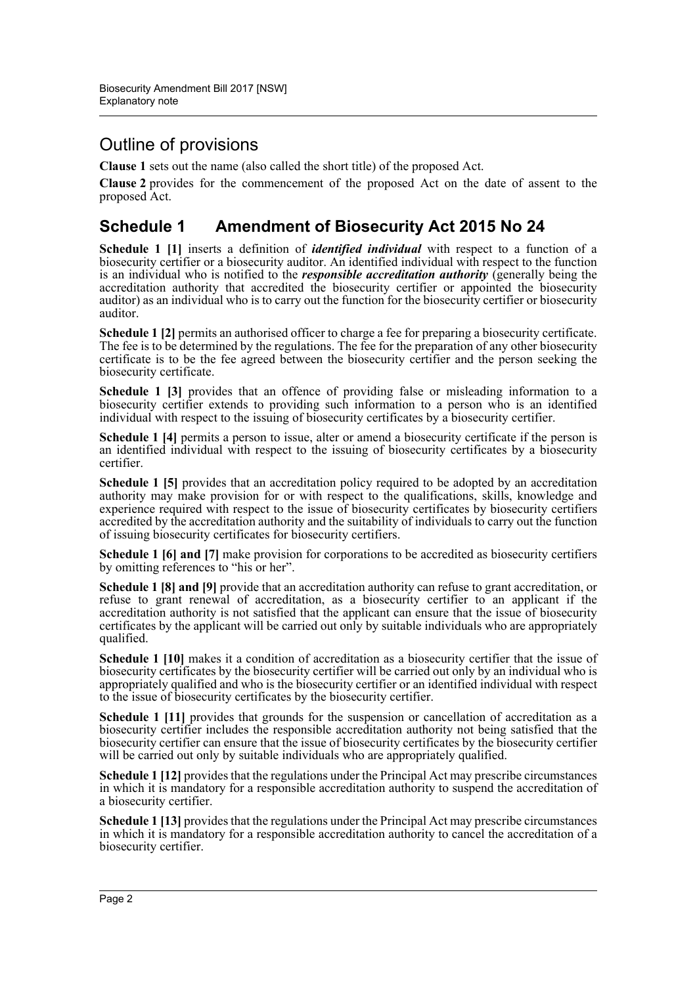### Outline of provisions

**Clause 1** sets out the name (also called the short title) of the proposed Act.

**Clause 2** provides for the commencement of the proposed Act on the date of assent to the proposed Act.

#### **Schedule 1 Amendment of Biosecurity Act 2015 No 24**

**Schedule 1 [1]** inserts a definition of *identified individual* with respect to a function of a biosecurity certifier or a biosecurity auditor. An identified individual with respect to the function is an individual who is notified to the *responsible accreditation authority* (generally being the accreditation authority that accredited the biosecurity certifier or appointed the biosecurity auditor) as an individual who is to carry out the function for the biosecurity certifier or biosecurity auditor.

**Schedule 1 [2]** permits an authorised officer to charge a fee for preparing a biosecurity certificate. The fee is to be determined by the regulations. The fee for the preparation of any other biosecurity certificate is to be the fee agreed between the biosecurity certifier and the person seeking the biosecurity certificate.

**Schedule 1 [3]** provides that an offence of providing false or misleading information to a biosecurity certifier extends to providing such information to a person who is an identified individual with respect to the issuing of biosecurity certificates by a biosecurity certifier.

**Schedule 1 [4]** permits a person to issue, alter or amend a biosecurity certificate if the person is an identified individual with respect to the issuing of biosecurity certificates by a biosecurity certifier.

**Schedule 1 [5]** provides that an accreditation policy required to be adopted by an accreditation authority may make provision for or with respect to the qualifications, skills, knowledge and experience required with respect to the issue of biosecurity certificates by biosecurity certifiers accredited by the accreditation authority and the suitability of individuals to carry out the function of issuing biosecurity certificates for biosecurity certifiers.

**Schedule 1 [6] and [7]** make provision for corporations to be accredited as biosecurity certifiers by omitting references to "his or her".

**Schedule 1 [8] and [9]** provide that an accreditation authority can refuse to grant accreditation, or refuse to grant renewal of accreditation, as a biosecurity certifier to an applicant if the accreditation authority is not satisfied that the applicant can ensure that the issue of biosecurity certificates by the applicant will be carried out only by suitable individuals who are appropriately qualified.

**Schedule 1 [10]** makes it a condition of accreditation as a biosecurity certifier that the issue of biosecurity certificates by the biosecurity certifier will be carried out only by an individual who is appropriately qualified and who is the biosecurity certifier or an identified individual with respect to the issue of biosecurity certificates by the biosecurity certifier.

**Schedule 1 [11]** provides that grounds for the suspension or cancellation of accreditation as a biosecurity certifier includes the responsible accreditation authority not being satisfied that the biosecurity certifier can ensure that the issue of biosecurity certificates by the biosecurity certifier will be carried out only by suitable individuals who are appropriately qualified.

**Schedule 1 [12]** provides that the regulations under the Principal Act may prescribe circumstances in which it is mandatory for a responsible accreditation authority to suspend the accreditation of a biosecurity certifier.

**Schedule 1 [13]** provides that the regulations under the Principal Act may prescribe circumstances in which it is mandatory for a responsible accreditation authority to cancel the accreditation of a biosecurity certifier.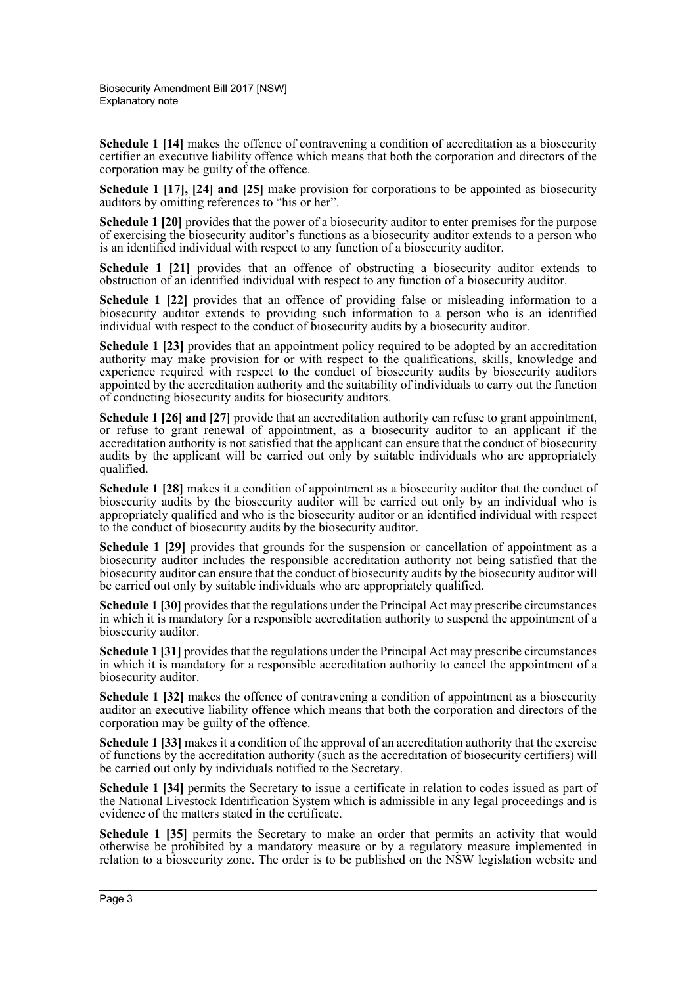**Schedule 1 [14]** makes the offence of contravening a condition of accreditation as a biosecurity certifier an executive liability offence which means that both the corporation and directors of the corporation may be guilty of the offence.

**Schedule 1 [17], [24] and [25]** make provision for corporations to be appointed as biosecurity auditors by omitting references to "his or her".

**Schedule 1 [20]** provides that the power of a biosecurity auditor to enter premises for the purpose of exercising the biosecurity auditor's functions as a biosecurity auditor extends to a person who is an identified individual with respect to any function of a biosecurity auditor.

**Schedule 1 [21]** provides that an offence of obstructing a biosecurity auditor extends to obstruction of an identified individual with respect to any function of a biosecurity auditor.

**Schedule 1 [22]** provides that an offence of providing false or misleading information to a biosecurity auditor extends to providing such information to a person who is an identified individual with respect to the conduct of biosecurity audits by a biosecurity auditor.

**Schedule 1 [23]** provides that an appointment policy required to be adopted by an accreditation authority may make provision for or with respect to the qualifications, skills, knowledge and experience required with respect to the conduct of biosecurity audits by biosecurity auditors appointed by the accreditation authority and the suitability of individuals to carry out the function of conducting biosecurity audits for biosecurity auditors.

**Schedule 1 [26] and [27]** provide that an accreditation authority can refuse to grant appointment, or refuse to grant renewal of appointment, as a biosecurity auditor to an applicant if the accreditation authority is not satisfied that the applicant can ensure that the conduct of biosecurity audits by the applicant will be carried out only by suitable individuals who are appropriately qualified.

**Schedule 1 [28]** makes it a condition of appointment as a biosecurity auditor that the conduct of biosecurity audits by the biosecurity auditor will be carried out only by an individual who is appropriately qualified and who is the biosecurity auditor or an identified individual with respect to the conduct of biosecurity audits by the biosecurity auditor.

**Schedule 1 [29]** provides that grounds for the suspension or cancellation of appointment as a biosecurity auditor includes the responsible accreditation authority not being satisfied that the biosecurity auditor can ensure that the conduct of biosecurity audits by the biosecurity auditor will be carried out only by suitable individuals who are appropriately qualified.

**Schedule 1 [30]** provides that the regulations under the Principal Act may prescribe circumstances in which it is mandatory for a responsible accreditation authority to suspend the appointment of a biosecurity auditor.

**Schedule 1 [31]** provides that the regulations under the Principal Act may prescribe circumstances in which it is mandatory for a responsible accreditation authority to cancel the appointment of a biosecurity auditor.

**Schedule 1 [32]** makes the offence of contravening a condition of appointment as a biosecurity auditor an executive liability offence which means that both the corporation and directors of the corporation may be guilty of the offence.

**Schedule 1 [33]** makes it a condition of the approval of an accreditation authority that the exercise of functions by the accreditation authority (such as the accreditation of biosecurity certifiers) will be carried out only by individuals notified to the Secretary.

**Schedule 1 [34]** permits the Secretary to issue a certificate in relation to codes issued as part of the National Livestock Identification System which is admissible in any legal proceedings and is evidence of the matters stated in the certificate.

**Schedule 1 [35]** permits the Secretary to make an order that permits an activity that would otherwise be prohibited by a mandatory measure or by a regulatory measure implemented in relation to a biosecurity zone. The order is to be published on the NSW legislation website and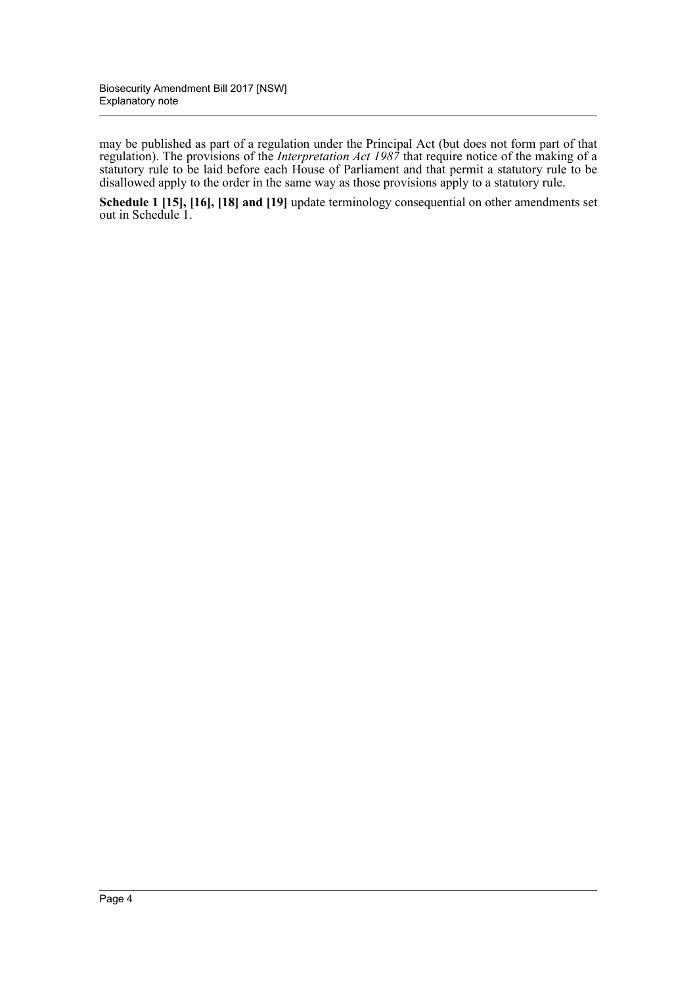may be published as part of a regulation under the Principal Act (but does not form part of that regulation). The provisions of the *Interpretation Act 1987* that require notice of the making of a statutory rule to be laid before each House of Parliament and that permit a statutory rule to be disallowed apply to the order in the same way as those provisions apply to a statutory rule.

**Schedule 1 [15], [16], [18] and [19]** update terminology consequential on other amendments set out in Schedule 1.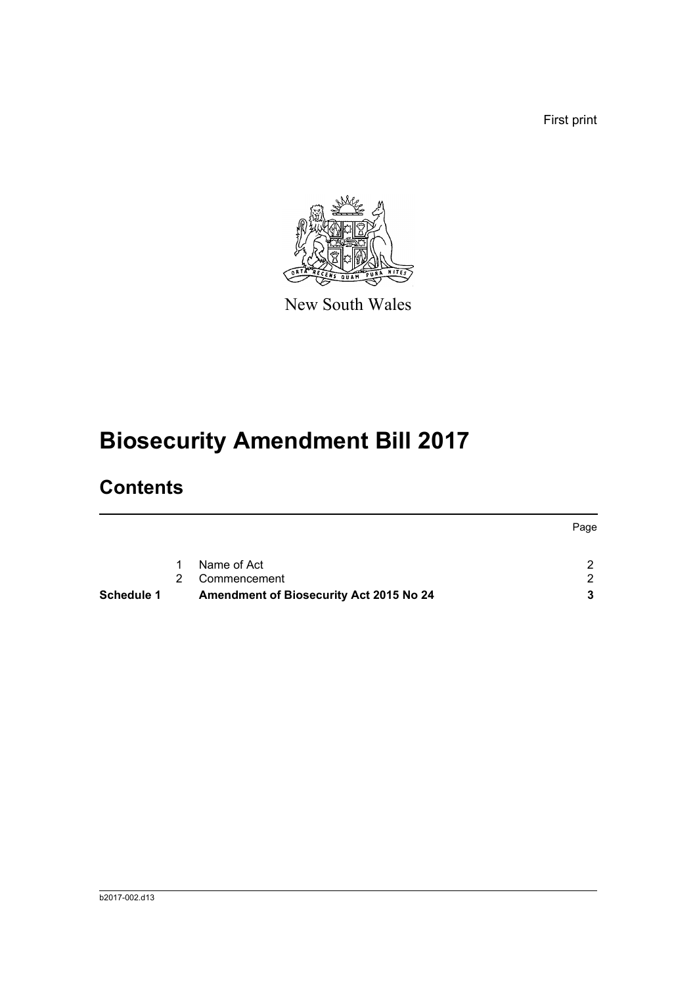First print



New South Wales

# **Biosecurity Amendment Bill 2017**

# **Contents**

|            |               |                                         | Page |
|------------|---------------|-----------------------------------------|------|
|            | $\mathbf{1}$  | Name of Act                             |      |
|            | $\mathcal{P}$ | Commencement                            | 2.   |
| Schedule 1 |               | Amendment of Biosecurity Act 2015 No 24 | 3.   |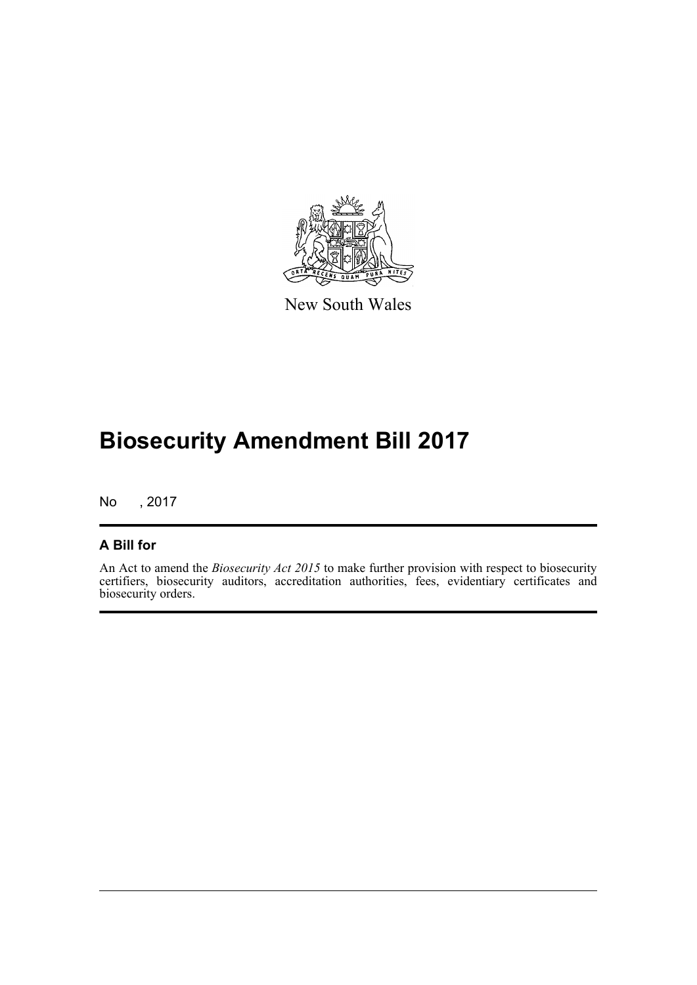

New South Wales

# **Biosecurity Amendment Bill 2017**

No , 2017

#### **A Bill for**

An Act to amend the *Biosecurity Act 2015* to make further provision with respect to biosecurity certifiers, biosecurity auditors, accreditation authorities, fees, evidentiary certificates and biosecurity orders.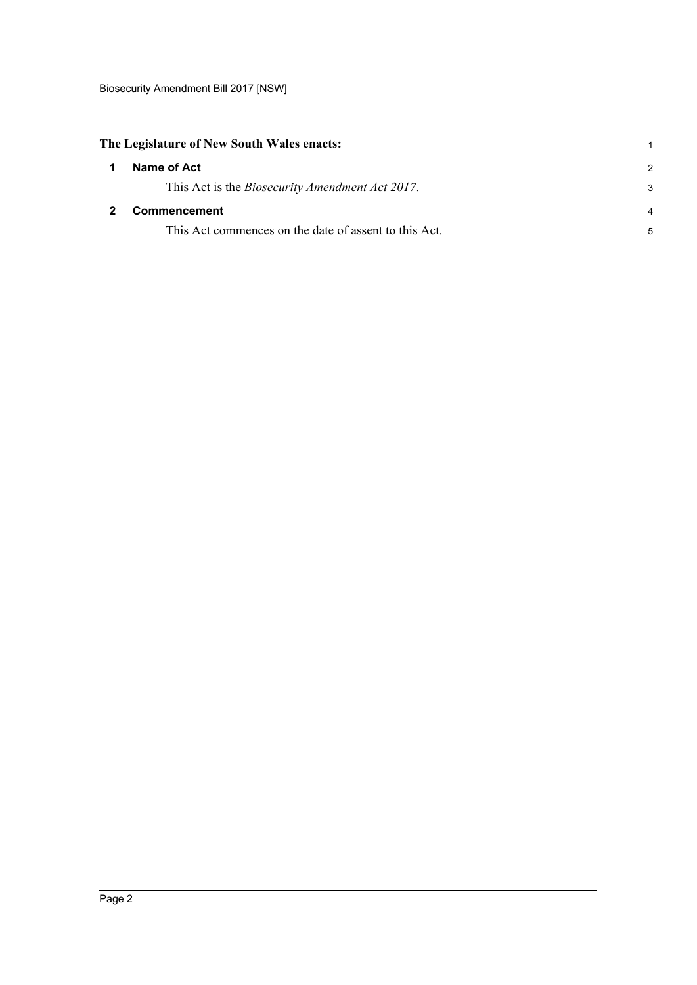<span id="page-6-1"></span><span id="page-6-0"></span>

|    | The Legislature of New South Wales enacts:              |                |  |  |
|----|---------------------------------------------------------|----------------|--|--|
| -1 | Name of Act                                             | $\mathcal{P}$  |  |  |
|    | This Act is the <i>Biosecurity Amendment Act 2017</i> . | 3              |  |  |
|    | <b>Commencement</b>                                     | $\overline{4}$ |  |  |
|    | This Act commences on the date of assent to this Act.   | 5              |  |  |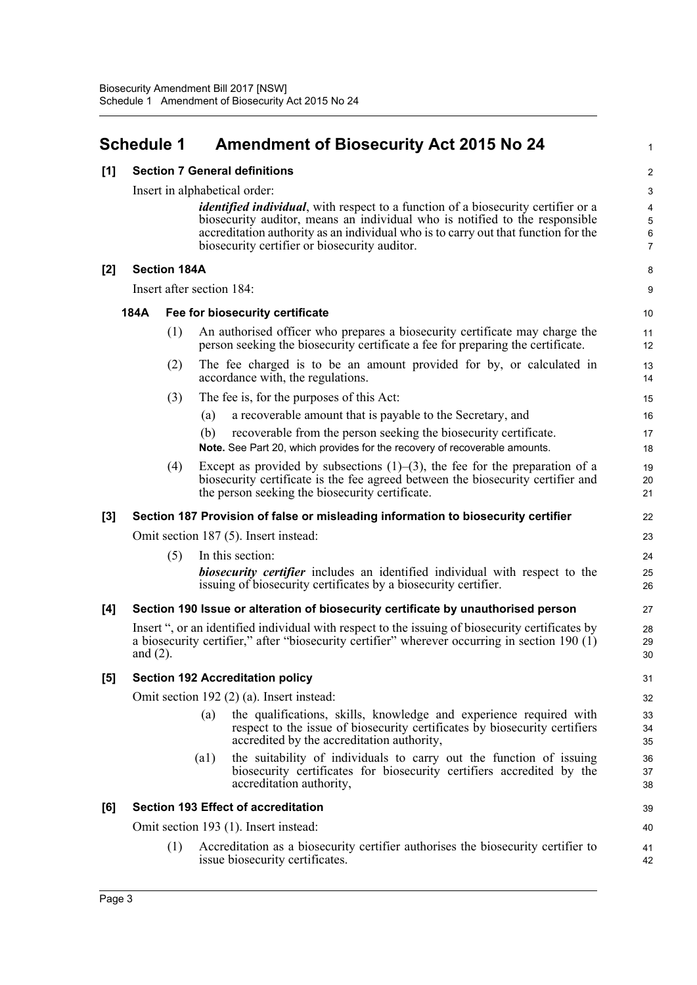### <span id="page-7-0"></span>**Schedule 1 Amendment of Biosecurity Act 2015 No 24**

1

| [1] | <b>Section 7 General definitions</b>      |                     |                                                                                                                                                                                                                                                                                                                 |                                                           |  |  |
|-----|-------------------------------------------|---------------------|-----------------------------------------------------------------------------------------------------------------------------------------------------------------------------------------------------------------------------------------------------------------------------------------------------------------|-----------------------------------------------------------|--|--|
|     | Insert in alphabetical order:             |                     |                                                                                                                                                                                                                                                                                                                 |                                                           |  |  |
|     |                                           |                     | <i>identified individual</i> , with respect to a function of a biosecurity certifier or a<br>biosecurity auditor, means an individual who is notified to the responsible<br>accreditation authority as an individual who is to carry out that function for the<br>biosecurity certifier or biosecurity auditor. | $\overline{\mathbf{4}}$<br>$\overline{5}$<br>$\,6\,$<br>7 |  |  |
| [2] |                                           | <b>Section 184A</b> |                                                                                                                                                                                                                                                                                                                 | 8                                                         |  |  |
|     |                                           |                     | Insert after section 184:                                                                                                                                                                                                                                                                                       | 9                                                         |  |  |
|     | 184A                                      |                     | Fee for biosecurity certificate                                                                                                                                                                                                                                                                                 | 10                                                        |  |  |
|     |                                           | (1)                 | An authorised officer who prepares a biosecurity certificate may charge the<br>person seeking the biosecurity certificate a fee for preparing the certificate.                                                                                                                                                  | 11<br>12                                                  |  |  |
|     |                                           | (2)                 | The fee charged is to be an amount provided for by, or calculated in<br>accordance with, the regulations.                                                                                                                                                                                                       | 13<br>14                                                  |  |  |
|     |                                           | (3)                 | The fee is, for the purposes of this Act:                                                                                                                                                                                                                                                                       | 15                                                        |  |  |
|     |                                           |                     | a recoverable amount that is payable to the Secretary, and<br>(a)                                                                                                                                                                                                                                               | 16                                                        |  |  |
|     |                                           |                     | recoverable from the person seeking the biosecurity certificate.<br>(b)<br>Note. See Part 20, which provides for the recovery of recoverable amounts.                                                                                                                                                           | 17<br>18                                                  |  |  |
|     |                                           | (4)                 | Except as provided by subsections $(1)$ – $(3)$ , the fee for the preparation of a<br>biosecurity certificate is the fee agreed between the biosecurity certifier and<br>the person seeking the biosecurity certificate.                                                                                        | 19<br>20<br>21                                            |  |  |
| [3] |                                           |                     | Section 187 Provision of false or misleading information to biosecurity certifier                                                                                                                                                                                                                               | 22                                                        |  |  |
|     |                                           |                     | Omit section 187 (5). Insert instead:                                                                                                                                                                                                                                                                           | 23                                                        |  |  |
|     |                                           | (5)                 | In this section:                                                                                                                                                                                                                                                                                                | 24                                                        |  |  |
|     |                                           |                     | <b>biosecurity certifier</b> includes an identified individual with respect to the<br>issuing of biosecurity certificates by a biosecurity certifier.                                                                                                                                                           | 25<br>26                                                  |  |  |
| [4] |                                           |                     | Section 190 Issue or alteration of biosecurity certificate by unauthorised person                                                                                                                                                                                                                               | 27                                                        |  |  |
|     | and $(2)$ .                               |                     | Insert ", or an identified individual with respect to the issuing of biosecurity certificates by<br>a biosecurity certifier," after "biosecurity certifier" wherever occurring in section 190 $(1)$                                                                                                             | 28<br>29<br>30                                            |  |  |
| [5] |                                           |                     | <b>Section 192 Accreditation policy</b>                                                                                                                                                                                                                                                                         | 31                                                        |  |  |
|     | Omit section 192 (2) (a). Insert instead: |                     |                                                                                                                                                                                                                                                                                                                 |                                                           |  |  |
|     |                                           |                     | the qualifications, skills, knowledge and experience required with<br>(a)<br>respect to the issue of biosecurity certificates by biosecurity certifiers<br>accredited by the accreditation authority,                                                                                                           | 33<br>34<br>35                                            |  |  |
|     |                                           |                     | the suitability of individuals to carry out the function of issuing<br>$\left( a1\right)$<br>biosecurity certificates for biosecurity certifiers accredited by the<br>accreditation authority,                                                                                                                  | 36<br>37<br>38                                            |  |  |
| [6] |                                           |                     | <b>Section 193 Effect of accreditation</b>                                                                                                                                                                                                                                                                      | 39                                                        |  |  |
|     |                                           |                     | Omit section 193 (1). Insert instead:                                                                                                                                                                                                                                                                           | 40                                                        |  |  |
|     |                                           | (1)                 | Accreditation as a biosecurity certifier authorises the biosecurity certifier to<br>issue biosecurity certificates.                                                                                                                                                                                             | 41<br>42                                                  |  |  |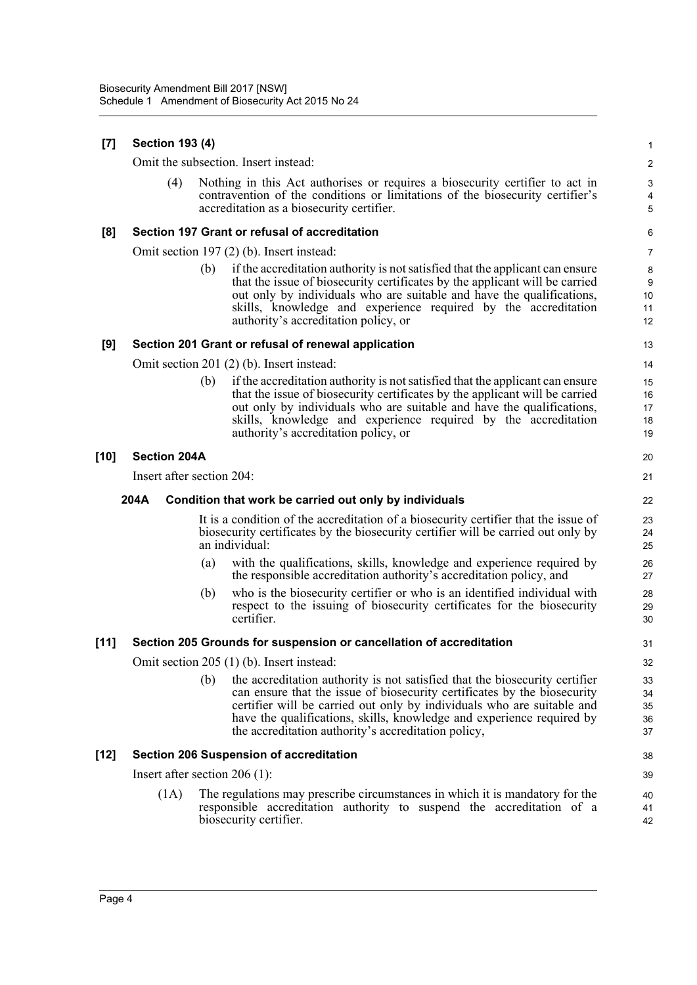| [7]  | <b>Section 193 (4)</b>          |                                                                                                                                                                                                                                                                                                                                                                          |                            |  |
|------|---------------------------------|--------------------------------------------------------------------------------------------------------------------------------------------------------------------------------------------------------------------------------------------------------------------------------------------------------------------------------------------------------------------------|----------------------------|--|
|      |                                 | Omit the subsection. Insert instead:                                                                                                                                                                                                                                                                                                                                     | $\boldsymbol{2}$           |  |
|      | (4)                             | Nothing in this Act authorises or requires a biosecurity certifier to act in<br>contravention of the conditions or limitations of the biosecurity certifier's<br>accreditation as a biosecurity certifier.                                                                                                                                                               | 3<br>4<br>5                |  |
| [8]  |                                 | Section 197 Grant or refusal of accreditation                                                                                                                                                                                                                                                                                                                            | 6                          |  |
|      |                                 | Omit section 197 (2) (b). Insert instead:                                                                                                                                                                                                                                                                                                                                | $\overline{7}$             |  |
|      |                                 | if the accreditation authority is not satisfied that the applicant can ensure<br>(b)<br>that the issue of biosecurity certificates by the applicant will be carried<br>out only by individuals who are suitable and have the qualifications,<br>skills, knowledge and experience required by the accreditation<br>authority's accreditation policy, or                   | 8<br>9<br>10<br>11<br>12   |  |
| [9]  |                                 | Section 201 Grant or refusal of renewal application                                                                                                                                                                                                                                                                                                                      | 13                         |  |
|      |                                 | Omit section 201 (2) (b). Insert instead:                                                                                                                                                                                                                                                                                                                                | 14                         |  |
|      |                                 | if the accreditation authority is not satisfied that the applicant can ensure<br>(b)<br>that the issue of biosecurity certificates by the applicant will be carried<br>out only by individuals who are suitable and have the qualifications,<br>skills, knowledge and experience required by the accreditation<br>authority's accreditation policy, or                   | 15<br>16<br>17<br>18<br>19 |  |
| [10] | <b>Section 204A</b>             |                                                                                                                                                                                                                                                                                                                                                                          | 20                         |  |
|      | Insert after section 204:       |                                                                                                                                                                                                                                                                                                                                                                          | 21                         |  |
|      |                                 |                                                                                                                                                                                                                                                                                                                                                                          |                            |  |
|      | 204A                            | Condition that work be carried out only by individuals                                                                                                                                                                                                                                                                                                                   | 22                         |  |
|      |                                 | It is a condition of the accreditation of a biosecurity certifier that the issue of<br>biosecurity certificates by the biosecurity certifier will be carried out only by<br>an individual:                                                                                                                                                                               | 23<br>24<br>25             |  |
|      |                                 | with the qualifications, skills, knowledge and experience required by<br>(a)<br>the responsible accreditation authority's accreditation policy, and                                                                                                                                                                                                                      | 26<br>27                   |  |
|      |                                 | who is the biosecurity certifier or who is an identified individual with<br>(b)<br>respect to the issuing of biosecurity certificates for the biosecurity<br>certifier.                                                                                                                                                                                                  | 28<br>29<br>30             |  |
| [11] |                                 | Section 205 Grounds for suspension or cancellation of accreditation                                                                                                                                                                                                                                                                                                      | 31                         |  |
|      |                                 | Omit section 205 (1) (b). Insert instead:                                                                                                                                                                                                                                                                                                                                | 32                         |  |
|      |                                 | (b)<br>the accreditation authority is not satisfied that the biosecurity certifier<br>can ensure that the issue of biosecurity certificates by the biosecurity<br>certifier will be carried out only by individuals who are suitable and<br>have the qualifications, skills, knowledge and experience required by<br>the accreditation authority's accreditation policy, | 33<br>34<br>35<br>36<br>37 |  |
| [12] |                                 | <b>Section 206 Suspension of accreditation</b>                                                                                                                                                                                                                                                                                                                           | 38                         |  |
|      | Insert after section $206$ (1): |                                                                                                                                                                                                                                                                                                                                                                          | 39                         |  |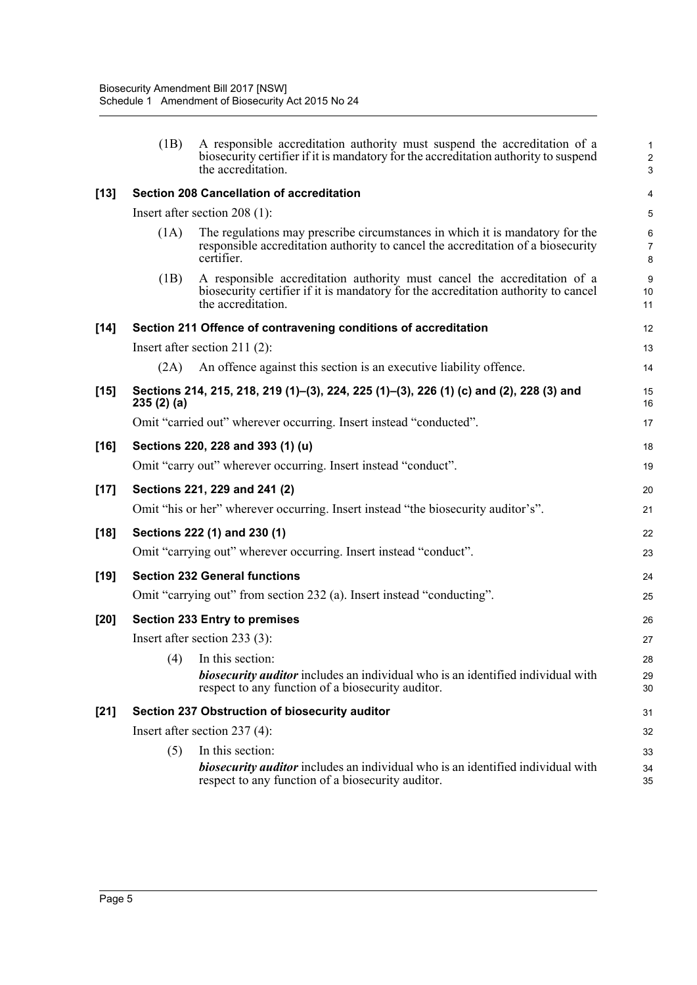|        | (1B)      | A responsible accreditation authority must suspend the accreditation of a<br>biosecurity certifier if it is mandatory for the accreditation authority to suspend<br>the accreditation. | $\mathbf{1}$<br>$\overline{c}$<br>3 |
|--------|-----------|----------------------------------------------------------------------------------------------------------------------------------------------------------------------------------------|-------------------------------------|
| $[13]$ |           | <b>Section 208 Cancellation of accreditation</b>                                                                                                                                       | 4                                   |
|        |           | Insert after section $208(1)$ :                                                                                                                                                        | $\overline{5}$                      |
|        | (1A)      | The regulations may prescribe circumstances in which it is mandatory for the<br>responsible accreditation authority to cancel the accreditation of a biosecurity<br>certifier.         | 6<br>$\overline{7}$<br>8            |
|        | (1B)      | A responsible accreditation authority must cancel the accreditation of a<br>biosecurity certifier if it is mandatory for the accreditation authority to cancel<br>the accreditation.   | $\boldsymbol{9}$<br>10<br>11        |
| $[14]$ |           | Section 211 Offence of contravening conditions of accreditation                                                                                                                        | 12                                  |
|        |           | Insert after section 211 $(2)$ :                                                                                                                                                       | 13                                  |
|        | (2A)      | An offence against this section is an executive liability offence.                                                                                                                     | 14                                  |
| $[15]$ | 235(2)(a) | Sections 214, 215, 218, 219 (1)–(3), 224, 225 (1)–(3), 226 (1) (c) and (2), 228 (3) and                                                                                                | 15<br>16                            |
|        |           | Omit "carried out" wherever occurring. Insert instead "conducted".                                                                                                                     | 17                                  |
| $[16]$ |           | Sections 220, 228 and 393 (1) (u)                                                                                                                                                      | 18                                  |
|        |           | Omit "carry out" wherever occurring. Insert instead "conduct".                                                                                                                         | 19                                  |
| $[17]$ |           | Sections 221, 229 and 241 (2)                                                                                                                                                          | 20                                  |
|        |           | Omit "his or her" wherever occurring. Insert instead "the biosecurity auditor's".                                                                                                      | 21                                  |
| $[18]$ |           | Sections 222 (1) and 230 (1)                                                                                                                                                           | 22                                  |
|        |           | Omit "carrying out" wherever occurring. Insert instead "conduct".                                                                                                                      | 23                                  |
| $[19]$ |           | <b>Section 232 General functions</b>                                                                                                                                                   | 24                                  |
|        |           | Omit "carrying out" from section 232 (a). Insert instead "conducting".                                                                                                                 | 25                                  |
| $[20]$ |           | <b>Section 233 Entry to premises</b>                                                                                                                                                   | 26                                  |
|        |           | Insert after section $233(3)$ :                                                                                                                                                        | 27                                  |
|        | (4)       | In this section:                                                                                                                                                                       | 28                                  |
|        |           | <b>biosecurity auditor</b> includes an individual who is an identified individual with<br>respect to any function of a biosecurity auditor.                                            | 29<br>30                            |
| $[21]$ |           | Section 237 Obstruction of biosecurity auditor                                                                                                                                         | 31                                  |
|        |           | Insert after section $237(4)$ :                                                                                                                                                        | 32                                  |
|        | (5)       | In this section:                                                                                                                                                                       | 33                                  |
|        |           | <b>biosecurity auditor</b> includes an individual who is an identified individual with<br>respect to any function of a biosecurity auditor.                                            | 34<br>35                            |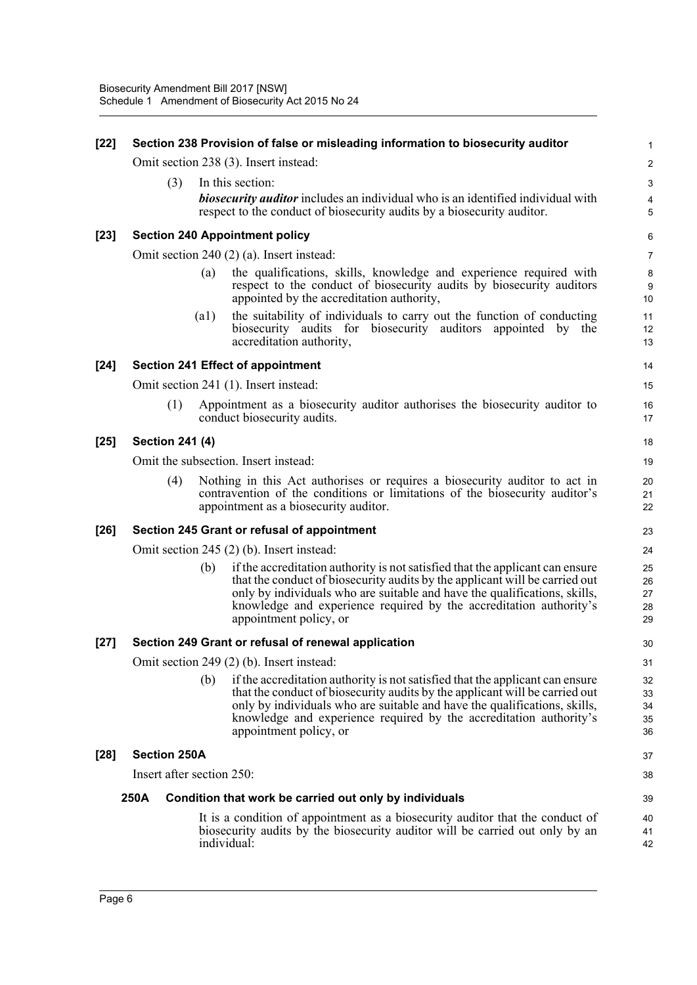| $[22]$ | Section 238 Provision of false or misleading information to biosecurity auditor |      |                                                                                                                                                                                                                                                                                                                                           |                            |  |
|--------|---------------------------------------------------------------------------------|------|-------------------------------------------------------------------------------------------------------------------------------------------------------------------------------------------------------------------------------------------------------------------------------------------------------------------------------------------|----------------------------|--|
|        |                                                                                 |      | Omit section 238 (3). Insert instead:                                                                                                                                                                                                                                                                                                     | 2                          |  |
|        | (3)                                                                             |      | In this section:                                                                                                                                                                                                                                                                                                                          | 3                          |  |
|        |                                                                                 |      | <b>biosecurity auditor</b> includes an individual who is an identified individual with<br>respect to the conduct of biosecurity audits by a biosecurity auditor.                                                                                                                                                                          | 4<br>5                     |  |
| $[23]$ |                                                                                 |      | <b>Section 240 Appointment policy</b>                                                                                                                                                                                                                                                                                                     | 6                          |  |
|        |                                                                                 |      | Omit section 240 (2) (a). Insert instead:                                                                                                                                                                                                                                                                                                 | $\overline{7}$             |  |
|        |                                                                                 | (a)  | the qualifications, skills, knowledge and experience required with<br>respect to the conduct of biosecurity audits by biosecurity auditors<br>appointed by the accreditation authority,                                                                                                                                                   | 8<br>9<br>10               |  |
|        |                                                                                 | (a1) | the suitability of individuals to carry out the function of conducting<br>biosecurity audits for biosecurity auditors appointed<br>by<br>the<br>accreditation authority,                                                                                                                                                                  | 11<br>12<br>13             |  |
| $[24]$ |                                                                                 |      | <b>Section 241 Effect of appointment</b>                                                                                                                                                                                                                                                                                                  | 14                         |  |
|        |                                                                                 |      | Omit section 241 (1). Insert instead:                                                                                                                                                                                                                                                                                                     | 15                         |  |
|        | (1)                                                                             |      | Appointment as a biosecurity auditor authorises the biosecurity auditor to<br>conduct biosecurity audits.                                                                                                                                                                                                                                 | 16<br>17                   |  |
| $[25]$ | <b>Section 241 (4)</b>                                                          |      |                                                                                                                                                                                                                                                                                                                                           | 18                         |  |
|        |                                                                                 |      | Omit the subsection. Insert instead:                                                                                                                                                                                                                                                                                                      | 19                         |  |
|        | (4)                                                                             |      | Nothing in this Act authorises or requires a biosecurity auditor to act in<br>contravention of the conditions or limitations of the biosecurity auditor's<br>appointment as a biosecurity auditor.                                                                                                                                        | 20<br>21<br>22             |  |
| $[26]$ |                                                                                 |      | Section 245 Grant or refusal of appointment                                                                                                                                                                                                                                                                                               | 23                         |  |
|        |                                                                                 |      | Omit section 245 (2) (b). Insert instead:                                                                                                                                                                                                                                                                                                 | 24                         |  |
|        |                                                                                 | (b)  | if the accreditation authority is not satisfied that the applicant can ensure<br>that the conduct of biosecurity audits by the applicant will be carried out<br>only by individuals who are suitable and have the qualifications, skills,<br>knowledge and experience required by the accreditation authority's<br>appointment policy, or | 25<br>26<br>27<br>28<br>29 |  |
| $[27]$ |                                                                                 |      | Section 249 Grant or refusal of renewal application                                                                                                                                                                                                                                                                                       | 30                         |  |
|        |                                                                                 |      | Omit section 249 (2) (b). Insert instead:                                                                                                                                                                                                                                                                                                 | 31                         |  |
|        |                                                                                 | (b)  | if the accreditation authority is not satisfied that the applicant can ensure<br>that the conduct of biosecurity audits by the applicant will be carried out<br>only by individuals who are suitable and have the qualifications, skills,<br>knowledge and experience required by the accreditation authority's<br>appointment policy, or | 32<br>33<br>34<br>35<br>36 |  |
| $[28]$ | <b>Section 250A</b>                                                             |      |                                                                                                                                                                                                                                                                                                                                           | 37                         |  |
|        | Insert after section 250:                                                       |      |                                                                                                                                                                                                                                                                                                                                           | 38                         |  |
|        | 250A                                                                            |      | Condition that work be carried out only by individuals                                                                                                                                                                                                                                                                                    | 39                         |  |
|        |                                                                                 |      | It is a condition of appointment as a biosecurity auditor that the conduct of<br>biosecurity audits by the biosecurity auditor will be carried out only by an<br>individual:                                                                                                                                                              | 40<br>41<br>42             |  |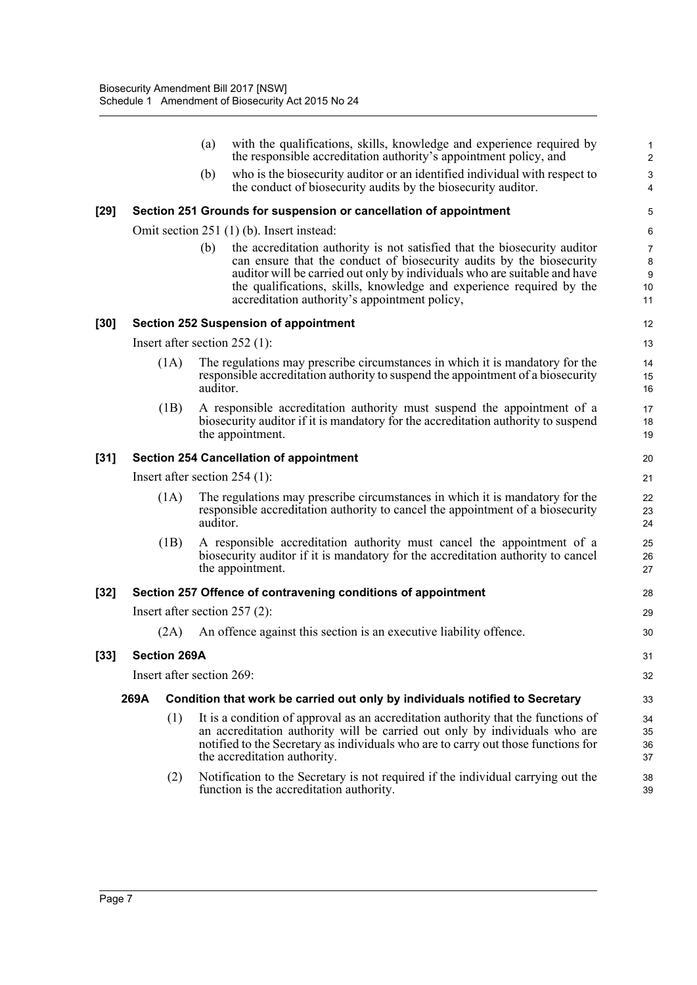|        |                                 |                           | (a)      | with the qualifications, skills, knowledge and experience required by<br>the responsible accreditation authority's appointment policy, and                                                                                                                                                                                                              | $\mathbf{1}$<br>$\overline{c}$         |
|--------|---------------------------------|---------------------------|----------|---------------------------------------------------------------------------------------------------------------------------------------------------------------------------------------------------------------------------------------------------------------------------------------------------------------------------------------------------------|----------------------------------------|
|        |                                 |                           | (b)      | who is the biosecurity auditor or an identified individual with respect to<br>the conduct of biosecurity audits by the biosecurity auditor.                                                                                                                                                                                                             | $\ensuremath{\mathsf{3}}$<br>4         |
| [29]   |                                 |                           |          | Section 251 Grounds for suspension or cancellation of appointment                                                                                                                                                                                                                                                                                       | 5                                      |
|        |                                 |                           |          | Omit section 251 (1) (b). Insert instead:                                                                                                                                                                                                                                                                                                               | 6                                      |
|        |                                 |                           | (b)      | the accreditation authority is not satisfied that the biosecurity auditor<br>can ensure that the conduct of biosecurity audits by the biosecurity<br>auditor will be carried out only by individuals who are suitable and have<br>the qualifications, skills, knowledge and experience required by the<br>accreditation authority's appointment policy, | $\boldsymbol{7}$<br>8<br>9<br>10<br>11 |
| [30]   |                                 |                           |          | <b>Section 252 Suspension of appointment</b>                                                                                                                                                                                                                                                                                                            | 12                                     |
|        |                                 |                           |          | Insert after section $252$ (1):                                                                                                                                                                                                                                                                                                                         | 13                                     |
|        |                                 | (1A)                      | auditor. | The regulations may prescribe circumstances in which it is mandatory for the<br>responsible accreditation authority to suspend the appointment of a biosecurity                                                                                                                                                                                         | 14<br>15<br>16                         |
|        |                                 | (1B)                      |          | A responsible accreditation authority must suspend the appointment of a<br>biosecurity auditor if it is mandatory for the accreditation authority to suspend<br>the appointment.                                                                                                                                                                        | 17<br>18<br>19                         |
| [31]   |                                 |                           |          | <b>Section 254 Cancellation of appointment</b>                                                                                                                                                                                                                                                                                                          | 20                                     |
|        |                                 |                           |          | Insert after section $254$ (1):                                                                                                                                                                                                                                                                                                                         | 21                                     |
|        |                                 | (1A)                      | auditor. | The regulations may prescribe circumstances in which it is mandatory for the<br>responsible accreditation authority to cancel the appointment of a biosecurity                                                                                                                                                                                          | 22<br>23<br>24                         |
|        |                                 | (1B)                      |          | A responsible accreditation authority must cancel the appointment of a<br>biosecurity auditor if it is mandatory for the accreditation authority to cancel<br>the appointment.                                                                                                                                                                          | 25<br>26<br>27                         |
| [32]   |                                 |                           |          | Section 257 Offence of contravening conditions of appointment                                                                                                                                                                                                                                                                                           | 28                                     |
|        | Insert after section $257(2)$ : |                           |          |                                                                                                                                                                                                                                                                                                                                                         |                                        |
|        |                                 | (2A)                      |          | An offence against this section is an executive liability offence.                                                                                                                                                                                                                                                                                      | 30                                     |
| $[33]$ |                                 | <b>Section 269A</b>       |          |                                                                                                                                                                                                                                                                                                                                                         | 31                                     |
|        |                                 | Insert after section 269: |          |                                                                                                                                                                                                                                                                                                                                                         | 32                                     |
|        | 269A                            |                           |          | Condition that work be carried out only by individuals notified to Secretary                                                                                                                                                                                                                                                                            | 33                                     |
|        |                                 | (1)                       |          | It is a condition of approval as an accreditation authority that the functions of<br>an accreditation authority will be carried out only by individuals who are<br>notified to the Secretary as individuals who are to carry out those functions for<br>the accreditation authority.                                                                    | 34<br>35<br>36<br>37                   |
|        |                                 | (2)                       |          | Notification to the Secretary is not required if the individual carrying out the<br>function is the accreditation authority.                                                                                                                                                                                                                            | 38<br>39                               |

[33]